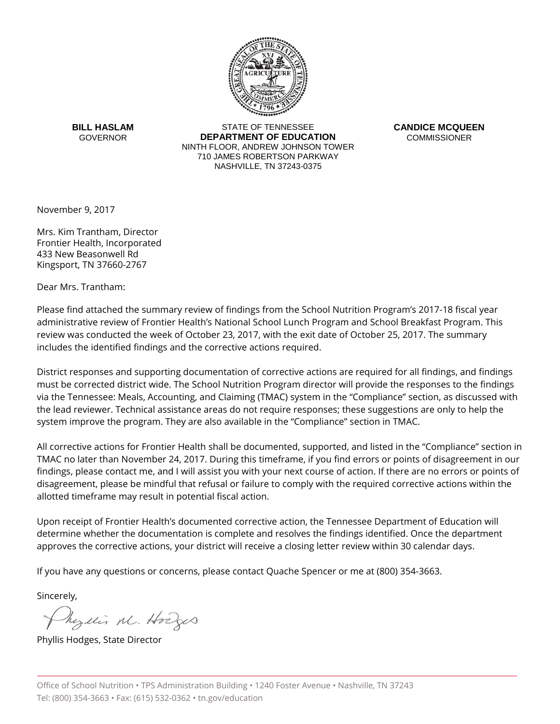

**BILL HASLAM GOVERNOR** 

STATE OF TENNESSEE **DEPARTMENT OF EDUCATION** NINTH FLOOR, ANDREW JOHNSON TOWER 710 JAMES ROBERTSON PARKWAY NASHVILLE, TN 37243-0375

**CANDICE MCQUEEN COMMISSIONER** 

November 9, 2017

Mrs. Kim Trantham, Director Frontier Health, Incorporated 433 New Beasonwell Rd Kingsport, TN 37660-2767

Dear Mrs. Trantham:

Please find attached the summary review of findings from the School Nutrition Program's 2017-18 fiscal year administrative review of Frontier Health's National School Lunch Program and School Breakfast Program. This review was conducted the week of October 23, 2017, with the exit date of October 25, 2017. The summary includes the identified findings and the corrective actions required.

District responses and supporting documentation of corrective actions are required for all findings, and findings must be corrected district wide. The School Nutrition Program director will provide the responses to the findings via the Tennessee: Meals, Accounting, and Claiming (TMAC) system in the "Compliance" section, as discussed with the lead reviewer. Technical assistance areas do not require responses; these suggestions are only to help the system improve the program. They are also available in the "Compliance" section in TMAC.

All corrective actions for Frontier Health shall be documented, supported, and listed in the "Compliance" section in TMAC no later than November 24, 2017. During this timeframe, if you find errors or points of disagreement in our findings, please contact me, and I will assist you with your next course of action. If there are no errors or points of disagreement, please be mindful that refusal or failure to comply with the required corrective actions within the allotted timeframe may result in potential fiscal action.

Upon receipt of Frontier Health's documented corrective action, the Tennessee Department of Education will determine whether the documentation is complete and resolves the findings identified. Once the department approves the corrective actions, your district will receive a closing letter review within 30 calendar days.

If you have any questions or concerns, please contact Quache Spencer or me at (800) 354-3663.

Sincerely,

Myllis M. Hodges

Phyllis Hodges, State Director